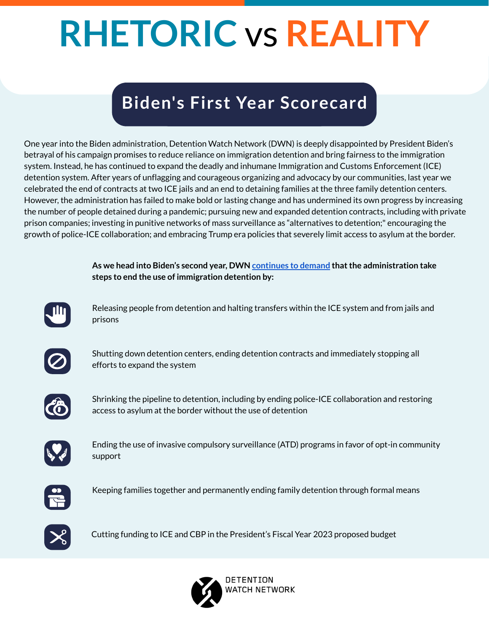One year into the Biden administration, Detention Watch Network (DWN) is deeply disappointed by President Biden's betrayal of his campaign promises to reduce reliance on immigration detention and bring fairness to the immigration system. Instead, he has continued to expand the deadly and inhumane Immigration and Customs Enforcement (ICE) detention system. After years of unflagging and courageous organizing and advocacy by our communities, last year we celebrated the end of contracts at two ICE jails and an end to detaining families at the three family detention centers. However, the administration has failed to make bold or lasting change and has undermined its own progress by increasing the number of people detained during a pandemic; pursuing new and expanded detention contracts, including with private prison companies; investing in punitive networks of mass surveillance as "alternatives to detention;" encouraging the growth of police-ICE collaboration; and embracing Trump era policies that severely limit access to asylum at the border.

# **RHETORIC** vs **REALITY**

# **Biden's First Year Scorecard**

Releasing people from detention and halting transfers within the ICE system and from jails and prisons



Shutting down detention centers, ending detention contracts and immediately stopping all efforts to expand the system



Shrinking the pipeline to detention, including by ending police-ICE collaboration and restoring access to asylum at the border without the use of detention



Ending the use of invasive compulsory surveillance (ATD) programs in favor of opt-in community support



Keeping families together and permanently ending family detention through formal means



**As we head into Biden's second year, DWN [continues](https://www.detentionwatchnetwork.org/sites/default/files/DWN%20Admin%20Policy%202%20pager%20-%20Eng%20and%20Esp.pdf) to demand thatthe administration take steps to end the use of immigration detention by:**



Cutting funding to ICE and CBP in the President's Fiscal Year 2023 proposed budget

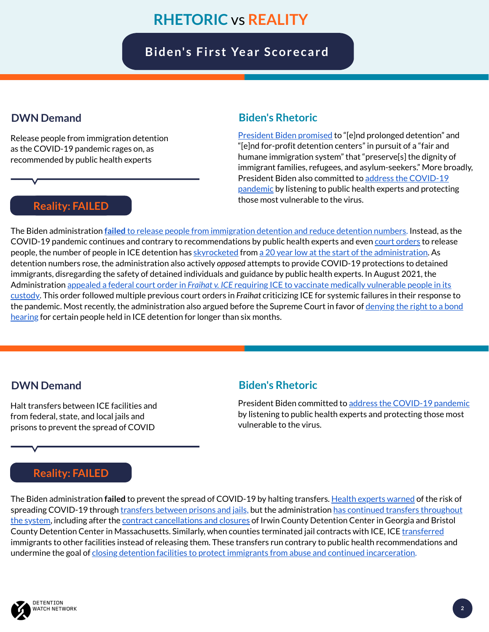[President](https://joebiden.com/immigration) Biden promised to "[e]nd prolonged detention" and "[e]nd for-profit detention centers" in pursuit of a "fair and humane immigration system" that "preserve[s] the dignity of immigrant families, refugees, and asylum-seekers." More broadly, President Biden also [committed](https://joebiden.com/covid19) to address the COVID-19 pandemic by listening to public health experts and protecting those most vulnerable to the virus.

The Biden administration **failed** to release people from [immigration](https://www.detentionwatchnetwork.org/pressroom/releases/2021/217-immigrant-human-rights-groups-call-biden-administration-address-spread) detention and reduce detention numbers. Instead, as the COVID-19 pandemic continues and contrary to recommendations by public health experts and even court [orders](https://www.splcenter.org/fraihat-v-ice-community-resources) to release people, the number of people in ICE detention has [skyrocketed](https://www.detentionwatchnetwork.org/pressroom/releases/2021/immigrant-rights-activists-hold-national-day-action-demanding-biden) from a 20 year low at the start of the [administration](https://www.detentionwatchnetwork.org/pressroom/releases/2021/today-we-have-lowest-number-people-immigration-detention-over-20-years-day). As detention numbers rose, the administration also actively *opposed* attempts to provide COVID-19 protections to detained immigrants, disregarding the safety of detained individuals and guidance by public health experts. In August 2021, the [Administration](https://www.splcenter.org/presscenter/advocates-decry-biden-administrations-appeal-fighting-order-vaccinate-medically) appealed a federal court order in *Fraihat v. ICE* requiring ICE to vaccinate medically vulnerable people in its custody. This order followed multiple previous court orders in *Fraihat* criticizing ICE for systemic failures in their response to the pandemic. Most recently, the [administration](https://www.latimes.com/politics/story/2022-01-11/biden-administration-urges-supreme-court-to-deny-bond-hearings-for-immigrants-facing-deportation) also argued before the Supreme Court in favor of denying the right to a bond hearing for certain people held in ICE detention for longer than six months.

#### **Biden's Rhetoric**

#### The Biden administration **failed** to prevent the spread of COVID-19 by halting transfers. Health experts [warned](https://www.themarshallproject.org/2020/12/21/moving-people-and-coronavirus-from-prison-to-prison) of the risk of spreading COVID-19 through [transfers](https://humanimpact.org/wp-content/uploads/2020/08/HIP-Stop-ICE-Transfers-Research-Brief-08-2020_compressed-1.pdf) between prisons and jails, but the [administration](https://www.dhs.gov/news/2021/05/20/ice-close-two-detention-centers) has continued transfers throughout the system, including after the contract [cancellations](https://www.detentionwatchnetwork.org/pressroom/releases/2021/we-are-home-detention-watch-network-partners-welcome-ice-detention) and closures of Irwin County Detention Center in Georgia and Bristol County Detention Center in Massachusetts. Similarly, when counties terminated jail contracts with ICE, ICE [transferred](https://thesouthern.com/news/local/3-released-others-transferred-as-pulaski-county-detention-center-closes/article_eb8a08e6-4d79-5c0a-9707-d7479f077fcd.html) immigrants to other facilities instead of releasing them. These transfers run contrary to public health recommendations and undermine the goal of closing detention facilities to protect immigrants from abuse and continued [incarceration](https://drive.google.com/drive/folders/1PWifkbAM2JJSC4EIIY1tplKewvwdwG4m).



Release people from immigration detention as the COVID-19 pandemic rages on, as recommended by public health experts

#### **DWN Demand**

President Biden committed to address the [COVID-19](https://joebiden.com/covid19) pandemic by listening to public health experts and protecting those most vulnerable to the virus.

#### **Biden's Rhetoric**

Halt transfers between ICE facilities and from federal, state, and local jails and prisons to prevent the spread of COVID

#### **DWN Demand**

# **RHETORIC** vs **REALITY**

## **Biden's Fi rst Year Scorecard**

**2**

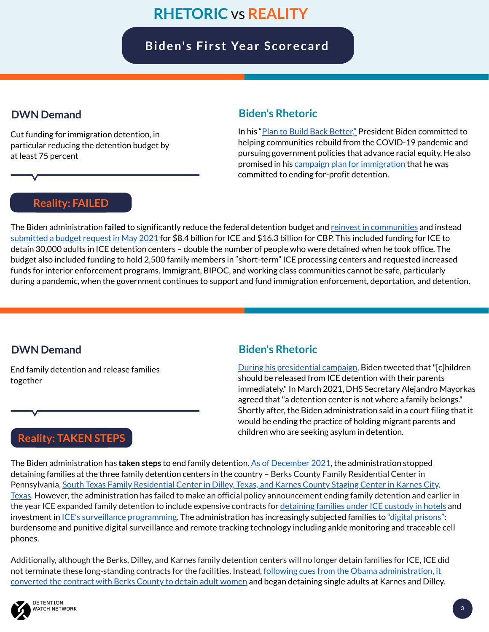In his "Plan to Build Back [Better,](https://joebiden.com/racial-economic-equity)" President Biden committed to helping communities rebuild from the COVID-19 pandemic and pursuing government policies that advance racial equity. He also promised in his campaign plan for [immigration](https://joebiden.com/immigration) that he was committed to ending for-profit detention.

#### **Biden's Rhetoric**

The Biden administration **failed** to significantly reduce the federal detention budget and reinvest in [communities](https://www.detentionwatchnetwork.org/sites/default/files/reports/Communities%20Not%20Cages-A%20Just%20Transition%20from%20Immigration%20Detention%20Economies_DWN%202021.pdf) and instead [submitted](https://defundhatenow.org/2021/05/28/bidens-budget-betrays-immigrants-and-border-communities) a budget request in May 2021</u> for \$8.4 billion for ICE and \$16.3 billion for CBP. This included funding for ICE to detain 30,000 adults in ICE detention centers – double the number of people who were detained when he took office. The budget also included funding to hold 2,500 family members in "short-term" ICE processing centers and requested increased funds for interior enforcement programs. Immigrant, BIPOC, and working class communities cannot be safe, particularly during a pandemic, when the government continues to support and fund immigration enforcement, deportation, and detention.

> During his [presidential](https://www.nbcnews.com/politics/immigration/five-major-immigration-promises-biden-has-yet-keep-n1264836) campaign, Biden tweeted that "[c]hildren should be released from ICE detention with their parents immediately." In March 2021, DHS Secretary Alejandro Mayorkas agreed that "a detention center is not where a family belongs." Shortly after, the Biden administration said in a court filing that it would be ending the practice of holding migrant parents and children who are seeking asylum in detention.

Cut funding for immigration detention, in particular reducing the detention budget by at least 75 percent

#### **DWN Demand**

#### **Biden's Rhetoric**

The Biden administration has **taken steps** to end family detention. As of [December](https://www.axios.com/biden-ends-migrant-family-detention-border-immigration-b39f3e04-689a-486b-82de-7deb9412cea6.html) 2021, the administration stopped detaining families at the three family detention centers in the country – Berks County Family Residential Center in

Pennsylvania, South Texas Family Residential Center in Dilley, Texas, and Karnes County Staging Center in Karnes City, Texas. However, the administration has failed to make an official policy [announcement](https://www.detentionwatchnetwork.org/pressroom/releases/2021/it-s-detention-if-people-are-ice-custody-no-matter-how-agency-rebrands-it) ending family detention and earlier in the year ICE expanded family detention to include expensive contracts for [detaining](https://www.refugeesinternational.org/reports/2021/6/23/100-organizations-raise-the-alarm-on-ice-custody-programs) families under ICE custody in hotels and investment in ICE's surveillance [programming](https://documentedny.com/2021/09/20/ankle-monitors-and-gps-apps-ices-alternatives-to-detention-explained). The administration has increasingly subjected families to <u>"digital prisons</u>": burdensome and punitive digital surveillance and remote tracking technology including ankle monitoring and traceable cell phones.

Additionally, although the Berks, Dilley, and Karnes family detention centers will no longer detain families for ICE, ICE did not terminate these long-standing contracts for the facilities. Instead, <u>following cues from the Obama [administratio](https://www.theguardian.com/us-news/2016/mar/18/karnes-dilley-texas-family-detention-center-change-all-male)n</u>, it converted the contract with Berks County to detain adult women and began detaining single adults at Karnes and Dilley.



## **Reality: TAKEN STEPS**

End family detention and release families together

#### **DWN Demand**

# **RHETORIC** vs **REALITY**

## **Biden's Fi rst Year Scorecard**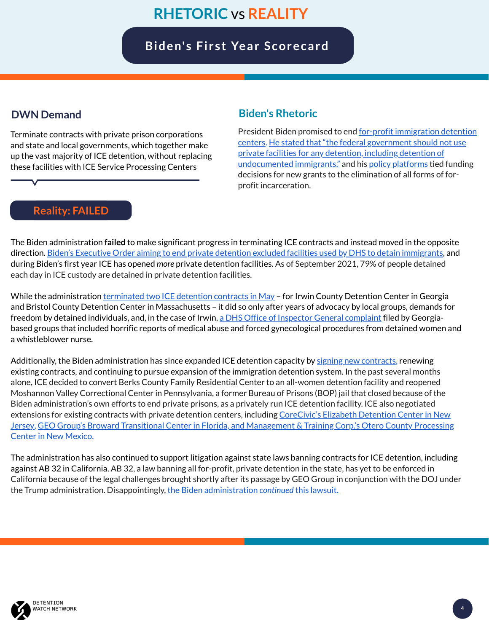The Biden administration **failed** to make significant progress in terminating ICE contracts and instead moved in the opposite direction. Biden's Executive Order aiming to end private detention excluded facilities used by DHS to detain [immigrants,](https://www.detentionwatchnetwork.org/sites/default/files/reports/Broken%20Promises_DWN%20and%20Project%20South_Final_11.23.21.pdf) and during Biden's first year ICE has opened *more* private detention facilities. As of September 2021, 79% of people detained each day in ICE custody are detained in private detention facilities.

While the administration *[terminated](https://www.detentionwatchnetwork.org/pressroom/releases/2021/we-are-home-detention-watch-network-partners-welcome-ice-detention) two ICE detention contracts in May* – for Irwin County Detention Center in Georgia and Bristol County Detention Center in Massachusetts – it did so only after years of advocacy by local groups, demands for freedom by detained individuals, and, in the case of Irwin, a DHS Office of Inspector General [complaint](https://projectsouth.org/wp-content/uploads/2020/09/OIG-ICDC-Complaint-1.pdf) filed by Georgiabased groups that included horrific reports of medical abuse and forced gynecological procedures from detained women and a whistleblower nurse.

Additionally, the Biden administration has since expanded ICE detention capacity by signing new [contracts](https://www.detentionwatchnetwork.org/pressroom/releases/2021/220-immigrant-human-rights-groups-call-biden-administration-immediately-halt), renewing existing contracts, and continuing to pursue expansion of the immigration detention system. In the past several months alone, ICE decided to convert Berks County Family Residential Center to an all-women detention facility and reopened Moshannon Valley Correctional Center in Pennsylvania, a former Bureau of Prisons (BOP) jail that closed because of the Biden administration's own efforts to end private prisons, as a privately run ICE detention facility. ICE also negotiated extensions for existing contracts with private detention centers, including CoreCivic's Elizabeth Detention Center in New Jersey, GEO Group's Broward Transitional Center in Florida, and [Management](https://documentedny.com/2021/08/13/ice-quietly-extends-elizabeth-detention-center-contract-with-corecivic) & Training Corp.'s Otero County Processing Center in New Mexico.

President Biden promised to end <u>for-profit immigration detention</u> centers. He stated that "the federal [government](https://joebiden.com/immigration) should not use private facilities for any detention, including detention of [undocumented](https://www.detentionwatchnetwork.org/sites/default/files/reports/Broken%20Promises_DWN%20and%20Project%20South_Final_11.23.21.pdf) immigrants," and his policy [platforms](https://joebiden.com/justice) tied funding decisions for new grants to the elimination of all forms of forprofit incarceration.

The administration has also continued to support litigation against state laws banning contracts for ICE detention, including against AB 32 in California. AB 32, a law banning all for-profit, private detention in the state, has yet to be enforced in California because of the legal challenges brought shortly after its passage by GEO Group in conjunction with the DOJ under the Trump administration. Disappointingly, the Biden [administration](https://www.ilrc.org/congressional-leaders-push-back-dojs-attack-california-private-prison-ban) *continued* this lawsuit.



#### **Biden's Rhetoric**

Terminate contracts with private prison corporations and state and local governments, which together make up the vast majority of ICE detention, without replacing these facilities with ICE Service Processing Centers

#### **DWN Demand**

**43**

# **RHETORIC** vs **REALITY**

## **Biden's Fi rst Year Scorecard**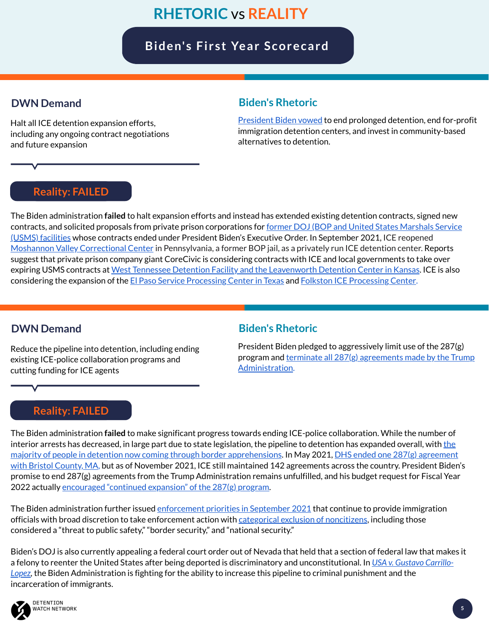[President](https://joebiden.com/immigration) Biden vowed to end prolonged detention, end for-profit immigration detention centers, and invest in community-based alternatives to detention.

The Biden administration **failed** to halt expansion efforts and instead has extended existing detention contracts, signed new contracts, and solicited proposals from private prison [corporations](https://www.detentionwatchnetwork.org/pressroom/releases/2021/detention-watch-network-blasts-ice-s-intention-disclosed-private-letter) for <u>former DOJ (BOP and United States Marshals Service</u> (USMS) facilities whose contracts ended under President Biden's Executive Order. In September 2021, ICE reopened Moshannon Valley [Correctional](https://www.detentionwatchnetwork.org/pressroom/releases/2021/220-immigrant-human-rights-groups-call-biden-administration-immediately-halt) Center in Pennsylvania, a former BOP jail, as a privately run ICE detention center. Reports suggest that private prison company giant CoreCivic is considering contracts with ICE and local governments to take over expiring USMS contracts at West Tennessee Detention Facility and the [Leavenworth](https://www.detentionwatchnetwork.org/pressroom/releases/2021/biden-administration-expanding-private-immigration-detention) Detention Center in Kansas. ICE is also considering the expansion of the El Paso Service [Processing](https://www.advancingjustice-atlanta.org/news/closefolkston) Center in Texas and Folkston ICE Processing Center.

#### **Biden's Rhetoric**

The Biden administration **failed** to make significant progress towards ending ICE-police collaboration. While the number of interior arrests has decreased, in large part due to state legislation, the pipeline to detention has expanded overall, with the majority of people in detention now coming through border [apprehensions.](https://www.theguardian.com/us-news/2021/aug/05/migrant-detention-border-biden-politics) In May 2021, DHS ended one 287(g) agreement with Bristol County, MA, but as of November 2021, ICE still maintained 142 agreements across the country. President Biden's promise to end 287(g) agreements from the Trump Administration remains unfulfilled, and his budget request for Fiscal Year 2022 actually [encouraged](https://defundhatenow.org/2021/05/28/bidens-budget-betrays-immigrants-and-border-communities) "continued expansion" of the 287(g) program.

The Biden administration further issued [enforcement](https://www.ilrc.org/sites/default/files/resources/immigration_attorneys_-_advisory_on_biden_final_enforcement_priorities_-_final.pdf) priorities in September 2021 that continue to provide immigration officials with broad discretion to take enforcement action with **categorical exclusion of [noncitizens](https://www.detentionwatchnetwork.org/pressroom/releases/2021/pd-memo-only-goes-so-far-when-held-conjunction-ice-s-massive-operating)**, including those considered a "threat to public safety," "border security," and "national security."

Halt all ICE detention expansion efforts, including any ongoing contract negotiations and future expansion

#### **DWN Demand**

President Biden pledged to aggressively limit use of the 287(g) program and terminate all 287(g) agreements made by the Trump [Administration.](https://immigrationimpact.com/2021/06/24/biden-287g-agreements-police/#.Ybondn3MJAf)

#### **Biden's Rhetoric**

Biden's DOJ is also currently appealing a federal court order out of Nevada that held that a section of federal law that makes it a felony to reenter the United States after being deported is discriminatory and [unconstitutional.](https://thenevadaindependent.com/article/nevada-judge-says-immigration-law-making-reentry-a-felony-is-unconstitutional-has-racist-origins) In *USA v. Gustavo Carrillo-Lopez,* the Biden Administration is fighting for the ability to increase this pipeline to criminal punishment and the incarceration of immigrants.



Reduce the pipeline into detention, including ending existing ICE-police collaboration programs and cutting funding for ICE agents

#### **DWN Demand**

# **RHETORIC** vs **REALITY**

## **Biden's Fi rst Year Scorecard**

**Reality: FAILED**